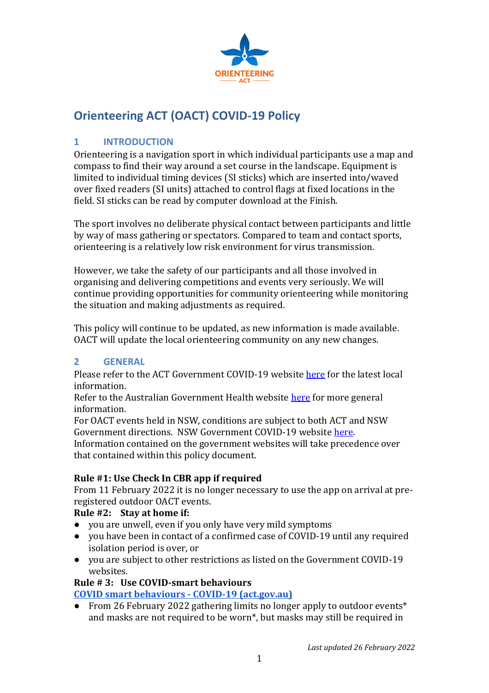

# **Orienteering ACT (OACT) COVID-19 Policy**

## **1 INTRODUCTION**

Orienteering is a navigation sport in which individual participants use a map and compass to find their way around a set course in the landscape. Equipment is limited to individual timing devices (SI sticks) which are inserted into/waved over fixed readers (SI units) attached to control flags at fixed locations in the field. SI sticks can be read by computer download at the Finish.

The sport involves no deliberate physical contact between participants and little by way of mass gathering or spectators. Compared to team and contact sports, orienteering is a relatively low risk environment for virus transmission.

However, we take the safety of our participants and all those involved in organising and delivering competitions and events very seriously. We will continue providing opportunities for community orienteering while monitoring the situation and making adjustments as required.

This policy will continue to be updated, as new information is made available. OACT will update the local orienteering community on any new changes.

## **2 GENERAL**

Please refer to the ACT Government COVID-19 website [here](https://www.covid19.act.gov.au/) for the latest local information.

Refer to the Australian Government Health website [here](https://www.health.gov.au/news/health-alerts/novel-coronavirus-2019-ncov-health-alert) for more general information.

For OACT events held in NSW, conditions are subject to both ACT and NSW Government directions. NSW Government COVID-19 website [here.](https://www.nsw.gov.au/covid-19) Information contained on the government websites will take precedence over that contained within this policy document.

## **Rule #1: Use Check In CBR app if required**

From 11 February 2022 it is no longer necessary to use the app on arrival at preregistered outdoor OACT events.

## **Rule #2: Stay at home if:**

- you are unwell, even if you only have very mild symptoms
- you have been in contact of a confirmed case of COVID-19 until any required isolation period is over, or
- you are subject to other restrictions as listed on the Government COVID-19 websites.

## **Rule # 3: Use COVID-smart behaviours**

**[COVID smart behaviours -](https://www.covid19.act.gov.au/stay-safe-and-healthy/covid-smart-behaviours) COVID-19 (act.gov.au)**

● From 26 February 2022 gathering limits no longer apply to outdoor events\* and masks are not required to be worn\*, but masks may still be required in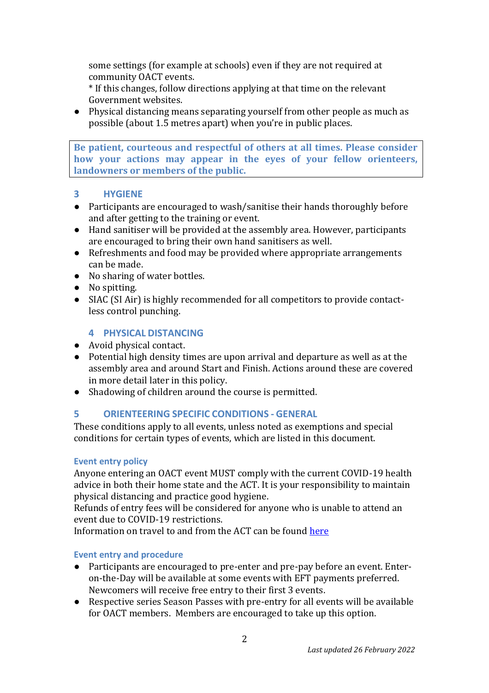some settings (for example at schools) even if they are not required at community OACT events.

\* If this changes, follow directions applying at that time on the relevant Government websites.

● Physical distancing means separating yourself from other people as much as possible (about 1.5 metres apart) when you're in public places.

**Be patient, courteous and respectful of others at all times. Please consider how your actions may appear in the eyes of your fellow orienteers, landowners or members of the public.**

#### **3 HYGIENE**

- Participants are encouraged to wash/sanitise their hands thoroughly before and after getting to the training or event.
- Hand sanitiser will be provided at the assembly area. However, participants are encouraged to bring their own hand sanitisers as well.
- Refreshments and food may be provided where appropriate arrangements can be made.
- No sharing of water bottles.
- No spitting.
- SIAC (SI Air) is highly recommended for all competitors to provide contactless control punching.

## **4 PHYSICAL DISTANCING**

- Avoid physical contact.
- Potential high density times are upon arrival and departure as well as at the assembly area and around Start and Finish. Actions around these are covered in more detail later in this policy.
- Shadowing of children around the course is permitted.

## **5 ORIENTEERING SPECIFIC CONDITIONS - GENERAL**

These conditions apply to all events, unless noted as exemptions and special conditions for certain types of events, which are listed in this document.

#### **Event entry policy**

Anyone entering an OACT event MUST comply with the current COVID-19 health advice in both their home state and the ACT. It is your responsibility to maintain physical distancing and practice good hygiene.

Refunds of entry fees will be considered for anyone who is unable to attend an event due to COVID-19 restrictions.

Information on travel to and from the ACT can be foun[d here](https://www.covid19.act.gov.au/travel)

#### **Event entry and procedure**

- Participants are encouraged to pre-enter and pre-pay before an event. Enteron-the-Day will be available at some events with EFT payments preferred. Newcomers will receive free entry to their first 3 events.
- Respective series Season Passes with pre-entry for all events will be available for OACT members. Members are encouraged to take up this option.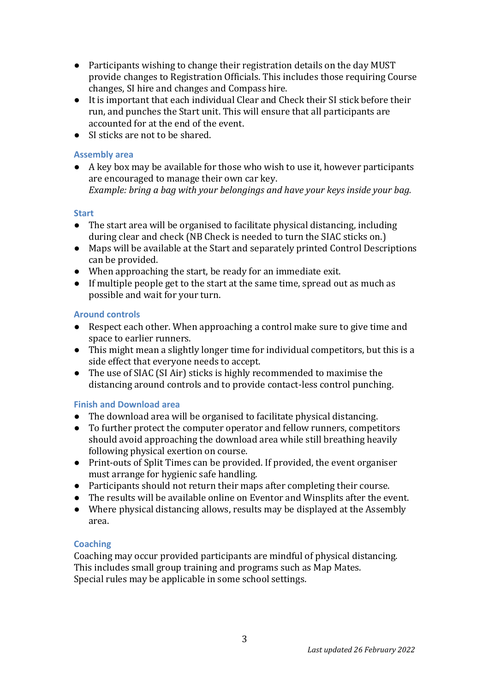- Participants wishing to change their registration details on the day MUST provide changes to Registration Officials. This includes those requiring Course changes, SI hire and changes and Compass hire.
- It is important that each individual Clear and Check their SI stick before their run, and punches the Start unit. This will ensure that all participants are accounted for at the end of the event.
- SI sticks are not to be shared.

#### **Assembly area**

● A key box may be available for those who wish to use it, however participants are encouraged to manage their own car key. *Example: bring a bag with your belongings and have your keys inside your bag.*

#### **Start**

- The start area will be organised to facilitate physical distancing, including during clear and check (NB Check is needed to turn the SIAC sticks on.)
- Maps will be available at the Start and separately printed Control Descriptions can be provided.
- When approaching the start, be ready for an immediate exit.
- If multiple people get to the start at the same time, spread out as much as possible and wait for your turn.

#### **Around controls**

- Respect each other. When approaching a control make sure to give time and space to earlier runners.
- This might mean a slightly longer time for individual competitors, but this is a side effect that everyone needs to accept.
- The use of SIAC (SI Air) sticks is highly recommended to maximise the distancing around controls and to provide contact-less control punching.

## **Finish and Download area**

- The download area will be organised to facilitate physical distancing.
- To further protect the computer operator and fellow runners, competitors should avoid approaching the download area while still breathing heavily following physical exertion on course.
- Print-outs of Split Times can be provided. If provided, the event organiser must arrange for hygienic safe handling.
- Participants should not return their maps after completing their course.
- The results will be available online on Eventor and Winsplits after the event.
- Where physical distancing allows, results may be displayed at the Assembly area.

#### **Coaching**

Coaching may occur provided participants are mindful of physical distancing. This includes small group training and programs such as Map Mates. Special rules may be applicable in some school settings.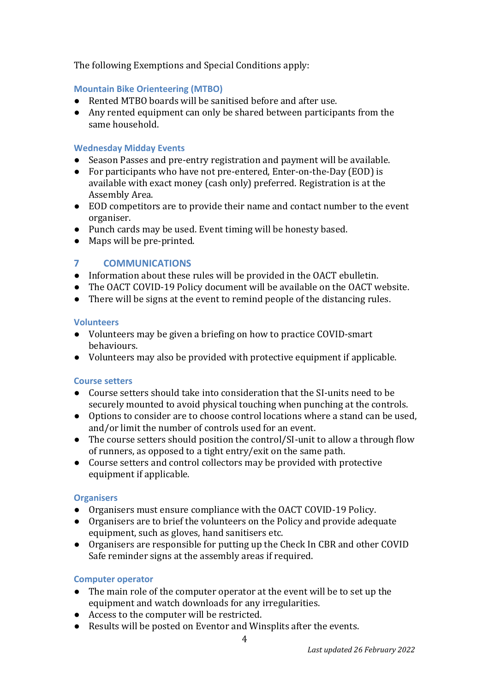The following Exemptions and Special Conditions apply:

#### **Mountain Bike Orienteering (MTBO)**

- Rented MTBO boards will be sanitised before and after use.
- Any rented equipment can only be shared between participants from the same household.

#### **Wednesday Midday Events**

- Season Passes and pre-entry registration and payment will be available.
- For participants who have not pre-entered, Enter-on-the-Day (EOD) is available with exact money (cash only) preferred. Registration is at the Assembly Area.
- EOD competitors are to provide their name and contact number to the event organiser.
- Punch cards may be used. Event timing will be honesty based.
- Maps will be pre-printed.

#### **7 COMMUNICATIONS**

- Information about these rules will be provided in the OACT ebulletin.
- The OACT COVID-19 Policy document will be available on the OACT website.
- There will be signs at the event to remind people of the distancing rules.

#### **Volunteers**

- Volunteers may be given a briefing on how to practice COVID-smart behaviours.
- Volunteers may also be provided with protective equipment if applicable.

#### **Course setters**

- Course setters should take into consideration that the SI-units need to be securely mounted to avoid physical touching when punching at the controls.
- Options to consider are to choose control locations where a stand can be used, and/or limit the number of controls used for an event.
- The course setters should position the control/SI-unit to allow a through flow of runners, as opposed to a tight entry/exit on the same path.
- Course setters and control collectors may be provided with protective equipment if applicable.

#### **Organisers**

- Organisers must ensure compliance with the OACT COVID-19 Policy.
- Organisers are to brief the volunteers on the Policy and provide adequate equipment, such as gloves, hand sanitisers etc.
- Organisers are responsible for putting up the Check In CBR and other COVID Safe reminder signs at the assembly areas if required.

#### **Computer operator**

- The main role of the computer operator at the event will be to set up the equipment and watch downloads for any irregularities.
- Access to the computer will be restricted.
- Results will be posted on Eventor and Winsplits after the events.